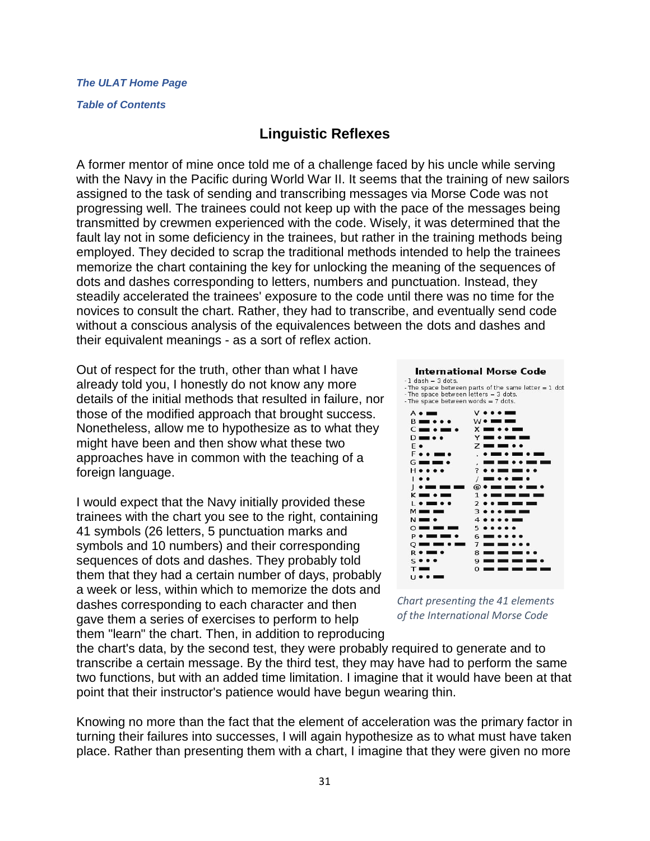## *[The ULAT Home Page](http://www.theulat.com/)*

### *[Table of Contents](http://www.theulat.com/INOTHERWORDS/CONTENTS.PDF)*

## **Linguistic Reflexes**

A former mentor of mine once told me of a challenge faced by his uncle while serving with the Navy in the Pacific during World War II. It seems that the training of new sailors assigned to the task of sending and transcribing messages via Morse Code was not progressing well. The trainees could not keep up with the pace of the messages being transmitted by crewmen experienced with the code. Wisely, it was determined that the fault lay not in some deficiency in the trainees, but rather in the training methods being employed. They decided to scrap the traditional methods intended to help the trainees memorize the chart containing the key for unlocking the meaning of the sequences of dots and dashes corresponding to letters, numbers and punctuation. Instead, they steadily accelerated the trainees' exposure to the code until there was no time for the novices to consult the chart. Rather, they had to transcribe, and eventually send code without a conscious analysis of the equivalences between the dots and dashes and their equivalent meanings - as a sort of reflex action.

Out of respect for the truth, other than what I have already told you, I honestly do not know any more details of the initial methods that resulted in failure, nor those of the modified approach that brought success. Nonetheless, allow me to hypothesize as to what they might have been and then show what these two approaches have in common with the teaching of a foreign language.

I would expect that the Navy initially provided these trainees with the chart you see to the right, containing 41 symbols (26 letters, 5 punctuation marks and symbols and 10 numbers) and their corresponding sequences of dots and dashes. They probably told them that they had a certain number of days, probably a week or less, within which to memorize the dots and dashes corresponding to each character and then gave them a series of exercises to perform to help them "learn" the chart. Then, in addition to reproducing

#### **International Morse Code**

-1 dash = 3 dots.<br>-The space between parts of the same letter = 1 dot - The space between letters = 3 dots.<br>- The space between words = 7 dots.



*Chart presenting the 41 elements of the International Morse Code*

the chart's data, by the second test, they were probably required to generate and to transcribe a certain message. By the third test, they may have had to perform the same two functions, but with an added time limitation. I imagine that it would have been at that point that their instructor's patience would have begun wearing thin.

Knowing no more than the fact that the element of acceleration was the primary factor in turning their failures into successes, I will again hypothesize as to what must have taken place. Rather than presenting them with a chart, I imagine that they were given no more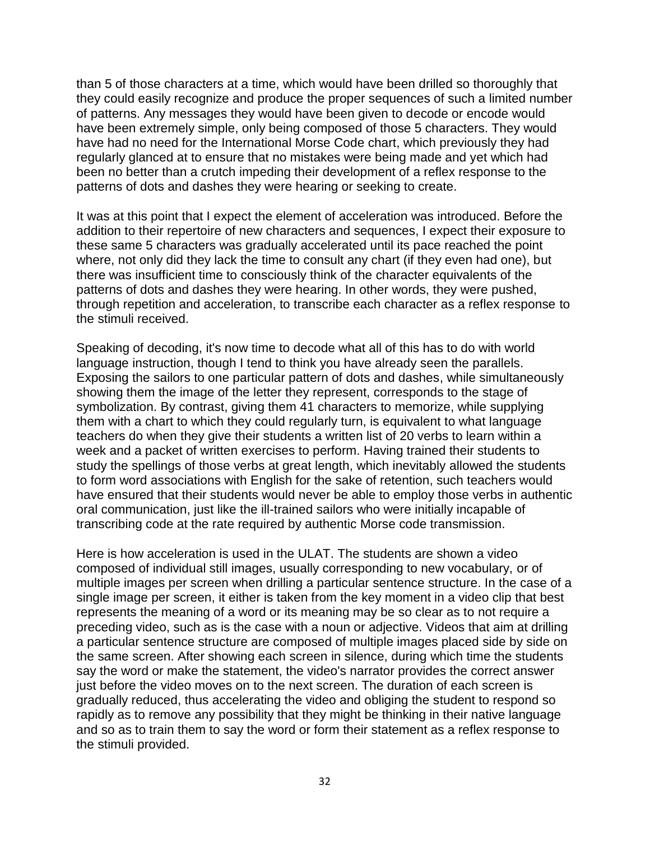than 5 of those characters at a time, which would have been drilled so thoroughly that they could easily recognize and produce the proper sequences of such a limited number of patterns. Any messages they would have been given to decode or encode would have been extremely simple, only being composed of those 5 characters. They would have had no need for the International Morse Code chart, which previously they had regularly glanced at to ensure that no mistakes were being made and yet which had been no better than a crutch impeding their development of a reflex response to the patterns of dots and dashes they were hearing or seeking to create.

It was at this point that I expect the element of acceleration was introduced. Before the addition to their repertoire of new characters and sequences, I expect their exposure to these same 5 characters was gradually accelerated until its pace reached the point where, not only did they lack the time to consult any chart (if they even had one), but there was insufficient time to consciously think of the character equivalents of the patterns of dots and dashes they were hearing. In other words, they were pushed, through repetition and acceleration, to transcribe each character as a reflex response to the stimuli received.

Speaking of decoding, it's now time to decode what all of this has to do with world language instruction, though I tend to think you have already seen the parallels. Exposing the sailors to one particular pattern of dots and dashes, while simultaneously showing them the image of the letter they represent, corresponds to the stage of symbolization. By contrast, giving them 41 characters to memorize, while supplying them with a chart to which they could regularly turn, is equivalent to what language teachers do when they give their students a written list of 20 verbs to learn within a week and a packet of written exercises to perform. Having trained their students to study the spellings of those verbs at great length, which inevitably allowed the students to form word associations with English for the sake of retention, such teachers would have ensured that their students would never be able to employ those verbs in authentic oral communication, just like the ill-trained sailors who were initially incapable of transcribing code at the rate required by authentic Morse code transmission.

Here is how acceleration is used in the ULAT. The students are shown a video composed of individual still images, usually corresponding to new vocabulary, or of multiple images per screen when drilling a particular sentence structure. In the case of a single image per screen, it either is taken from the key moment in a video clip that best represents the meaning of a word or its meaning may be so clear as to not require a preceding video, such as is the case with a noun or adjective. Videos that aim at drilling a particular sentence structure are composed of multiple images placed side by side on the same screen. After showing each screen in silence, during which time the students say the word or make the statement, the video's narrator provides the correct answer just before the video moves on to the next screen. The duration of each screen is gradually reduced, thus accelerating the video and obliging the student to respond so rapidly as to remove any possibility that they might be thinking in their native language and so as to train them to say the word or form their statement as a reflex response to the stimuli provided.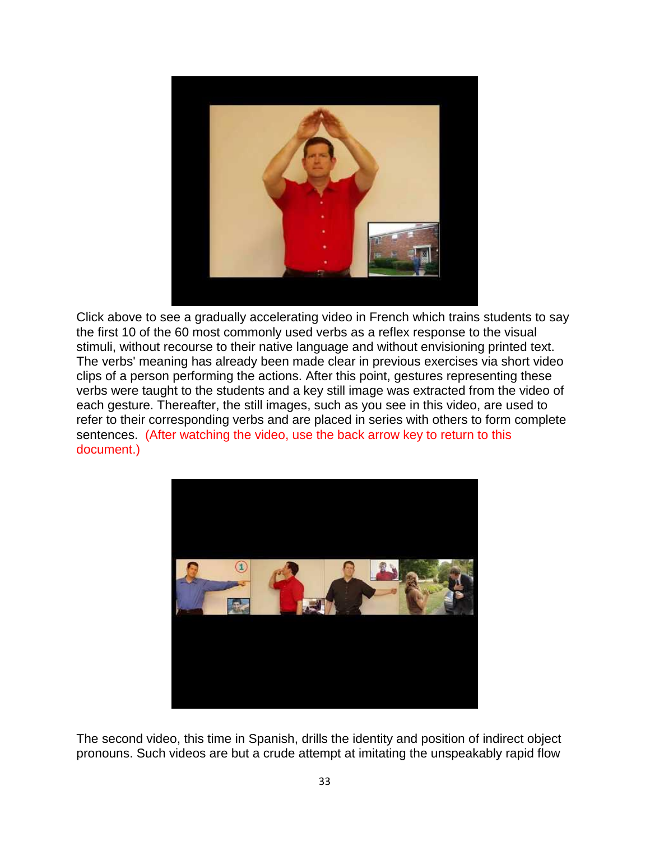

Click above to see a gradually accelerating video in French which trains students to say the first 10 of the 60 most commonly used verbs as a reflex response to the visual stimuli, without recourse to their native language and without envisioning printed text. The verbs' meaning has already been made clear in previous exercises via short video clips of a person performing the actions. After this point, gestures representing these verbs were taught to the students and a key still image was extracted from the video of each gesture. Thereafter, the still images, such as you see in this video, are used to refer to their corresponding verbs and are placed in series with others to form complete sentences. (After watching the video, use the back arrow key to return to this document.)



The second video, this time in Spanish, drills the identity and position of indirect object pronouns. Such videos are but a crude attempt at imitating the unspeakably rapid flow